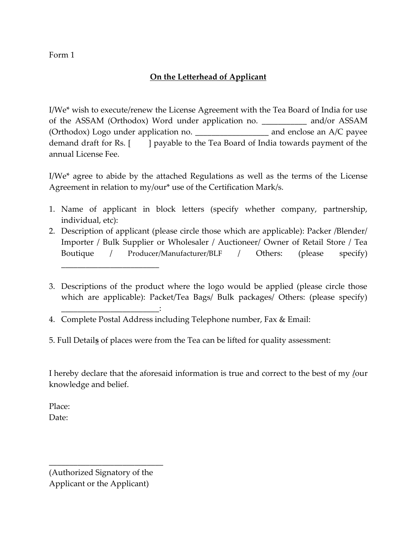Form 1

## **On the Letterhead of Applicant**

I/We\* wish to execute/renew the License Agreement with the Tea Board of India for use of the ASSAM (Orthodox) Word under application no. **\_\_\_\_\_\_\_\_\_\_\_** and/or ASSAM (Orthodox) Logo under application no. \_\_\_\_\_\_\_\_\_\_\_\_\_\_\_\_\_\_ and enclose an A/C payee demand draft for Rs. [ ] payable to the Tea Board of India towards payment of the annual License Fee.

I/We\* agree to abide by the attached Regulations as well as the terms of the License Agreement in relation to my/our\* use of the Certification Mark/s.

- 1. Name of applicant in block letters (specify whether company, partnership, individual, etc):
- 2. Description of applicant (please circle those which are applicable): Packer /Blender/ Importer / Bulk Supplier or Wholesaler / Auctioneer/ Owner of Retail Store / Tea Boutique / Producer/Manufacturer/BLF / Others: (please specify)
- 3. Descriptions of the product where the logo would be applied (please circle those which are applicable): Packet/Tea Bags/ Bulk packages/ Others: (please specify)

I hereby declare that the aforesaid information is true and correct to the best of my **/**our knowledge and belief.

Place: Date:

(Authorized Signatory of the Applicant or the Applicant)

\_\_\_\_\_\_\_\_\_\_\_\_\_\_\_\_\_\_\_\_\_\_\_\_\_\_\_\_

\_\_\_\_\_\_\_\_\_\_\_\_\_\_\_\_\_\_\_\_\_\_\_\_

\_\_\_\_\_\_\_\_\_\_\_\_\_\_\_\_\_\_\_\_\_\_\_\_:

<sup>4.</sup> Complete Postal Address including Telephone number, Fax & Email:

<sup>5.</sup> Full Detail**s** of places were from the Tea can be lifted for quality assessment: